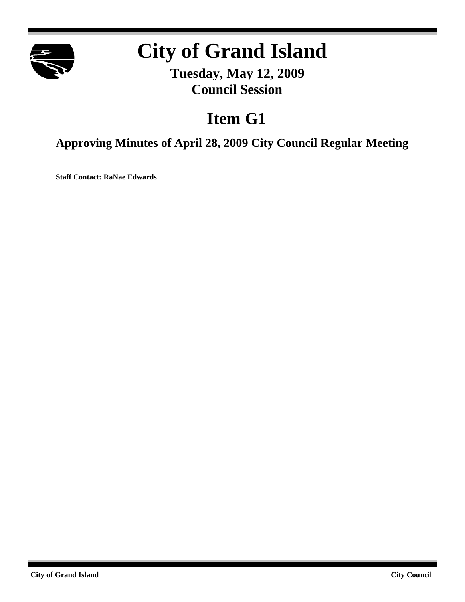

# **City of Grand Island**

**Tuesday, May 12, 2009 Council Session**

# **Item G1**

**Approving Minutes of April 28, 2009 City Council Regular Meeting**

**Staff Contact: RaNae Edwards**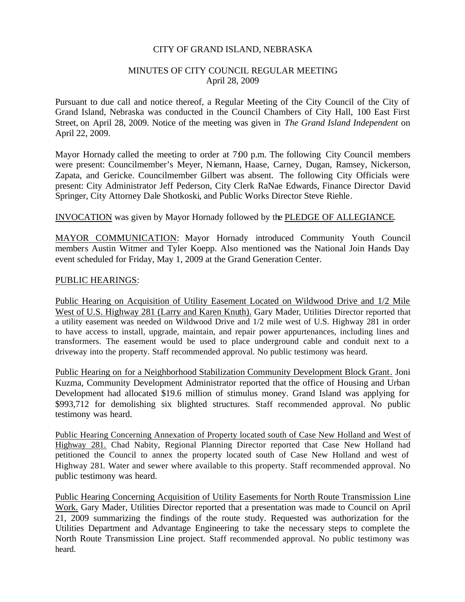#### CITY OF GRAND ISLAND, NEBRASKA

#### MINUTES OF CITY COUNCIL REGULAR MEETING April 28, 2009

Pursuant to due call and notice thereof, a Regular Meeting of the City Council of the City of Grand Island, Nebraska was conducted in the Council Chambers of City Hall, 100 East First Street, on April 28, 2009. Notice of the meeting was given in *The Grand Island Independent* on April 22, 2009.

Mayor Hornady called the meeting to order at 7:00 p.m. The following City Council members were present: Councilmember's Meyer, Niemann, Haase, Carney, Dugan, Ramsey, Nickerson, Zapata, and Gericke. Councilmember Gilbert was absent. The following City Officials were present: City Administrator Jeff Pederson, City Clerk RaNae Edwards, Finance Director David Springer, City Attorney Dale Shotkoski, and Public Works Director Steve Riehle.

#### INVOCATION was given by Mayor Hornady followed by the PLEDGE OF ALLEGIANCE.

MAYOR COMMUNICATION: Mayor Hornady introduced Community Youth Council members Austin Witmer and Tyler Koepp. Also mentioned was the National Join Hands Day event scheduled for Friday, May 1, 2009 at the Grand Generation Center.

#### PUBLIC HEARINGS:

Public Hearing on Acquisition of Utility Easement Located on Wildwood Drive and 1/2 Mile West of U.S. Highway 281 (Larry and Karen Knuth). Gary Mader, Utilities Director reported that a utility easement was needed on Wildwood Drive and 1/2 mile west of U.S. Highway 281 in order to have access to install, upgrade, maintain, and repair power appurtenances, including lines and transformers. The easement would be used to place underground cable and conduit next to a driveway into the property. Staff recommended approval. No public testimony was heard.

Public Hearing on for a Neighborhood Stabilization Community Development Block Grant. Joni Kuzma, Community Development Administrator reported that the office of Housing and Urban Development had allocated \$19.6 million of stimulus money. Grand Island was applying for \$993,712 for demolishing six blighted structures. Staff recommended approval. No public testimony was heard.

Public Hearing Concerning Annexation of Property located south of Case New Holland and West of Highway 281. Chad Nabity, Regional Planning Director reported that Case New Holland had petitioned the Council to annex the property located south of Case New Holland and west of Highway 281. Water and sewer where available to this property. Staff recommended approval. No public testimony was heard.

Public Hearing Concerning Acquisition of Utility Easements for North Route Transmission Line Work. Gary Mader, Utilities Director reported that a presentation was made to Council on April 21, 2009 summarizing the findings of the route study. Requested was authorization for the Utilities Department and Advantage Engineering to take the necessary steps to complete the North Route Transmission Line project. Staff recommended approval. No public testimony was heard.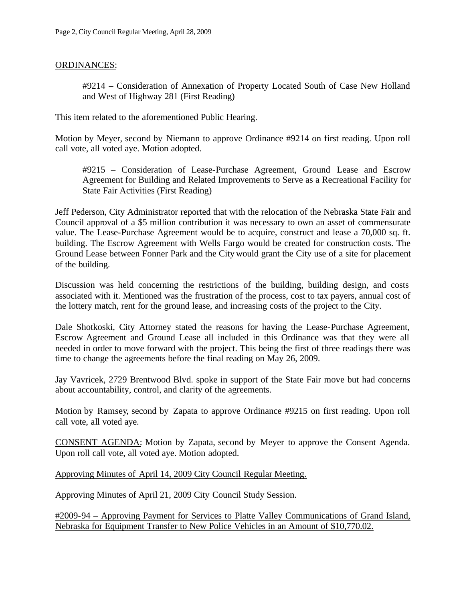## ORDINANCES:

#9214 – Consideration of Annexation of Property Located South of Case New Holland and West of Highway 281 (First Reading)

This item related to the aforementioned Public Hearing.

Motion by Meyer, second by Niemann to approve Ordinance #9214 on first reading. Upon roll call vote, all voted aye. Motion adopted.

#9215 – Consideration of Lease-Purchase Agreement, Ground Lease and Escrow Agreement for Building and Related Improvements to Serve as a Recreational Facility for State Fair Activities (First Reading)

Jeff Pederson, City Administrator reported that with the relocation of the Nebraska State Fair and Council approval of a \$5 million contribution it was necessary to own an asset of commensurate value. The Lease-Purchase Agreement would be to acquire, construct and lease a 70,000 sq. ft. building. The Escrow Agreement with Wells Fargo would be created for construction costs. The Ground Lease between Fonner Park and the City would grant the City use of a site for placement of the building.

Discussion was held concerning the restrictions of the building, building design, and costs associated with it. Mentioned was the frustration of the process, cost to tax payers, annual cost of the lottery match, rent for the ground lease, and increasing costs of the project to the City.

Dale Shotkoski, City Attorney stated the reasons for having the Lease-Purchase Agreement, Escrow Agreement and Ground Lease all included in this Ordinance was that they were all needed in order to move forward with the project. This being the first of three readings there was time to change the agreements before the final reading on May 26, 2009.

Jay Vavricek, 2729 Brentwood Blvd. spoke in support of the State Fair move but had concerns about accountability, control, and clarity of the agreements.

Motion by Ramsey, second by Zapata to approve Ordinance #9215 on first reading. Upon roll call vote, all voted aye.

CONSENT AGENDA: Motion by Zapata, second by Meyer to approve the Consent Agenda. Upon roll call vote, all voted aye. Motion adopted.

Approving Minutes of April 14, 2009 City Council Regular Meeting.

Approving Minutes of April 21, 2009 City Council Study Session.

#2009-94 – Approving Payment for Services to Platte Valley Communications of Grand Island, Nebraska for Equipment Transfer to New Police Vehicles in an Amount of \$10,770.02.